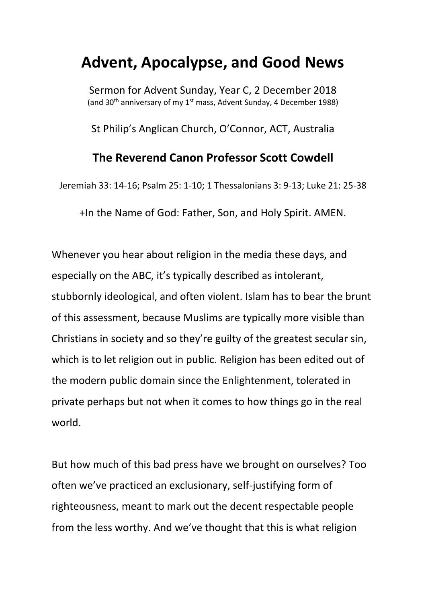## **Advent, Apocalypse, and Good News**

Sermon for Advent Sunday, Year C, 2 December 2018 (and 30<sup>th</sup> anniversary of my 1<sup>st</sup> mass, Advent Sunday, 4 December 1988)

St Philip's Anglican Church, O'Connor, ACT, Australia

## **The Reverend Canon Professor Scott Cowdell**

Jeremiah 33: 14-16; Psalm 25: 1-10; 1 Thessalonians 3: 9-13; Luke 21: 25-38

+In the Name of God: Father, Son, and Holy Spirit. AMEN.

Whenever you hear about religion in the media these days, and especially on the ABC, it's typically described as intolerant, stubbornly ideological, and often violent. Islam has to bear the brunt of this assessment, because Muslims are typically more visible than Christians in society and so they're guilty of the greatest secular sin, which is to let religion out in public. Religion has been edited out of the modern public domain since the Enlightenment, tolerated in private perhaps but not when it comes to how things go in the real world.

But how much of this bad press have we brought on ourselves? Too often we've practiced an exclusionary, self-justifying form of righteousness, meant to mark out the decent respectable people from the less worthy. And we've thought that this is what religion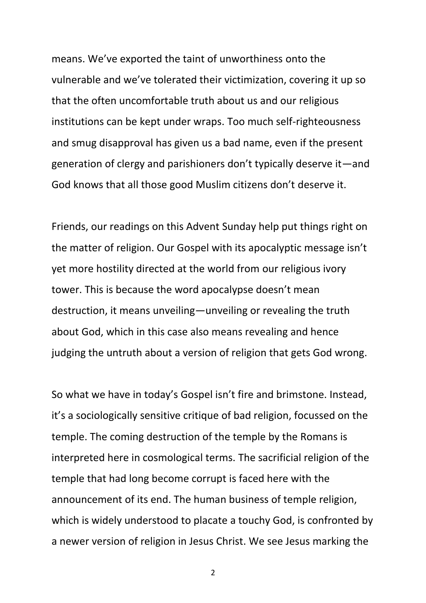means. We've exported the taint of unworthiness onto the vulnerable and we've tolerated their victimization, covering it up so that the often uncomfortable truth about us and our religious institutions can be kept under wraps. Too much self-righteousness and smug disapproval has given us a bad name, even if the present generation of clergy and parishioners don't typically deserve it—and God knows that all those good Muslim citizens don't deserve it.

Friends, our readings on this Advent Sunday help put things right on the matter of religion. Our Gospel with its apocalyptic message isn't yet more hostility directed at the world from our religious ivory tower. This is because the word apocalypse doesn't mean destruction, it means unveiling—unveiling or revealing the truth about God, which in this case also means revealing and hence judging the untruth about a version of religion that gets God wrong.

So what we have in today's Gospel isn't fire and brimstone. Instead, it's a sociologically sensitive critique of bad religion, focussed on the temple. The coming destruction of the temple by the Romans is interpreted here in cosmological terms. The sacrificial religion of the temple that had long become corrupt is faced here with the announcement of its end. The human business of temple religion, which is widely understood to placate a touchy God, is confronted by a newer version of religion in Jesus Christ. We see Jesus marking the

2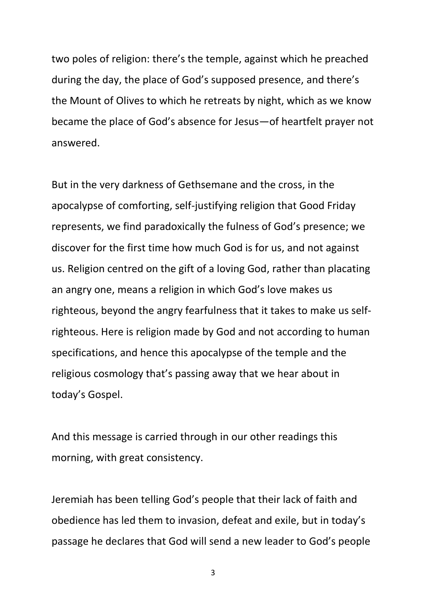two poles of religion: there's the temple, against which he preached during the day, the place of God's supposed presence, and there's the Mount of Olives to which he retreats by night, which as we know became the place of God's absence for Jesus—of heartfelt prayer not answered.

But in the very darkness of Gethsemane and the cross, in the apocalypse of comforting, self-justifying religion that Good Friday represents, we find paradoxically the fulness of God's presence; we discover for the first time how much God is for us, and not against us. Religion centred on the gift of a loving God, rather than placating an angry one, means a religion in which God's love makes us righteous, beyond the angry fearfulness that it takes to make us selfrighteous. Here is religion made by God and not according to human specifications, and hence this apocalypse of the temple and the religious cosmology that's passing away that we hear about in today's Gospel.

And this message is carried through in our other readings this morning, with great consistency.

Jeremiah has been telling God's people that their lack of faith and obedience has led them to invasion, defeat and exile, but in today's passage he declares that God will send a new leader to God's people

3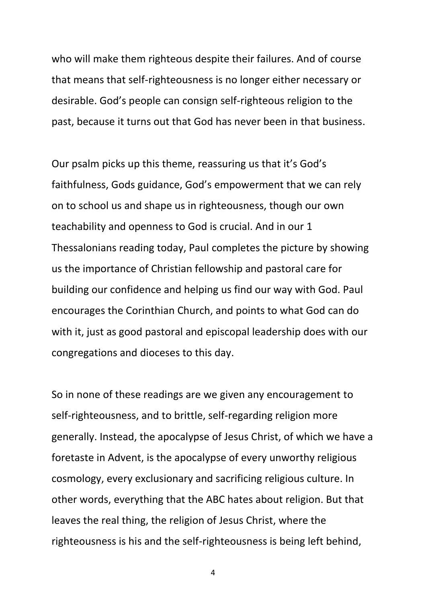who will make them righteous despite their failures. And of course that means that self-righteousness is no longer either necessary or desirable. God's people can consign self-righteous religion to the past, because it turns out that God has never been in that business.

Our psalm picks up this theme, reassuring us that it's God's faithfulness, Gods guidance, God's empowerment that we can rely on to school us and shape us in righteousness, though our own teachability and openness to God is crucial. And in our 1 Thessalonians reading today, Paul completes the picture by showing us the importance of Christian fellowship and pastoral care for building our confidence and helping us find our way with God. Paul encourages the Corinthian Church, and points to what God can do with it, just as good pastoral and episcopal leadership does with our congregations and dioceses to this day.

So in none of these readings are we given any encouragement to self-righteousness, and to brittle, self-regarding religion more generally. Instead, the apocalypse of Jesus Christ, of which we have a foretaste in Advent, is the apocalypse of every unworthy religious cosmology, every exclusionary and sacrificing religious culture. In other words, everything that the ABC hates about religion. But that leaves the real thing, the religion of Jesus Christ, where the righteousness is his and the self-righteousness is being left behind,

4